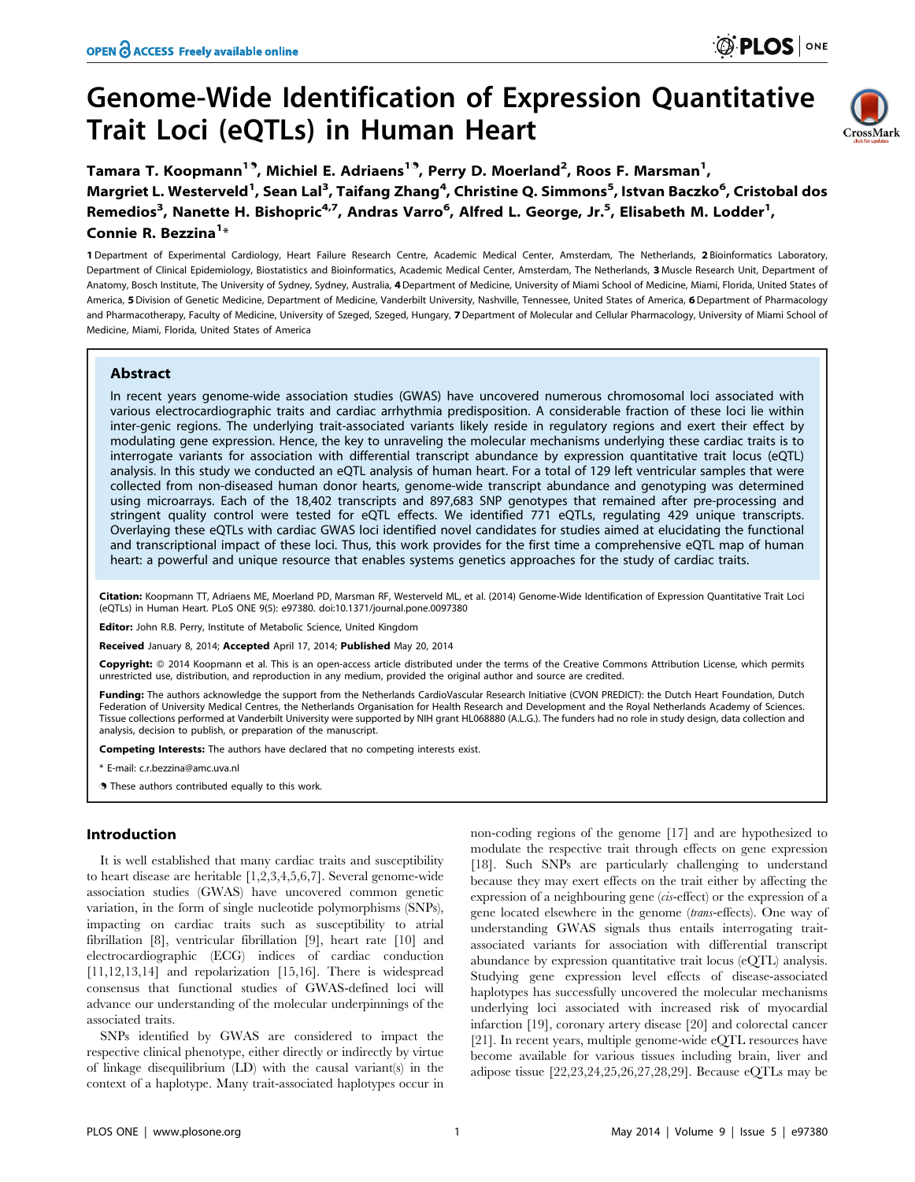# Genome-Wide Identification of Expression Quantitative Trait Loci (eQTLs) in Human Heart



Tamara T. Koopmann<sup>19</sup>, Michiel E. Adriaens<sup>19</sup>, Perry D. Moerland<sup>2</sup>, Roos F. Marsman<sup>1</sup>, Margriet L. Westerveld<sup>1</sup>, Sean Lal<sup>3</sup>, Taifang Zhang<sup>4</sup>, Christine Q. Simmons<sup>5</sup>, Istvan Baczko<sup>6</sup>, Cristobal dos Remedios<sup>3</sup>, Nanette H. Bishopric<sup>4,7</sup>, Andras Varro<sup>6</sup>, Alfred L. George, Jr.<sup>5</sup>, Elisabeth M. Lodder<sup>1</sup>, Connie R. Bezzina<sup>1</sup>\*

1 Department of Experimental Cardiology, Heart Failure Research Centre, Academic Medical Center, Amsterdam, The Netherlands, 2 Bioinformatics Laboratory, Department of Clinical Epidemiology, Biostatistics and Bioinformatics, Academic Medical Center, Amsterdam, The Netherlands, 3 Muscle Research Unit, Department of Anatomy, Bosch Institute, The University of Sydney, Sydney, Australia, 4Department of Medicine, University of Miami School of Medicine, Miami, Florida, United States of America, 5 Division of Genetic Medicine, Department of Medicine, Vanderbilt University, Nashville, Tennessee, United States of America, 6 Department of Pharmacology and Pharmacotherapy, Faculty of Medicine, University of Szeged, Szeged, Hungary, 7 Department of Molecular and Cellular Pharmacology, University of Miami School of Medicine, Miami, Florida, United States of America

# Abstract

In recent years genome-wide association studies (GWAS) have uncovered numerous chromosomal loci associated with various electrocardiographic traits and cardiac arrhythmia predisposition. A considerable fraction of these loci lie within inter-genic regions. The underlying trait-associated variants likely reside in regulatory regions and exert their effect by modulating gene expression. Hence, the key to unraveling the molecular mechanisms underlying these cardiac traits is to interrogate variants for association with differential transcript abundance by expression quantitative trait locus (eQTL) analysis. In this study we conducted an eQTL analysis of human heart. For a total of 129 left ventricular samples that were collected from non-diseased human donor hearts, genome-wide transcript abundance and genotyping was determined using microarrays. Each of the 18,402 transcripts and 897,683 SNP genotypes that remained after pre-processing and stringent quality control were tested for eQTL effects. We identified 771 eQTLs, regulating 429 unique transcripts. Overlaying these eQTLs with cardiac GWAS loci identified novel candidates for studies aimed at elucidating the functional and transcriptional impact of these loci. Thus, this work provides for the first time a comprehensive eQTL map of human heart: a powerful and unique resource that enables systems genetics approaches for the study of cardiac traits.

Citation: Koopmann TT, Adriaens ME, Moerland PD, Marsman RF, Westerveld ML, et al. (2014) Genome-Wide Identification of Expression Quantitative Trait Loci (eQTLs) in Human Heart. PLoS ONE 9(5): e97380. doi:10.1371/journal.pone.0097380

Editor: John R.B. Perry, Institute of Metabolic Science, United Kingdom

Received January 8, 2014; Accepted April 17, 2014; Published May 20, 2014

Copyright: © 2014 Koopmann et al. This is an open-access article distributed under the terms of the [Creative Commons Attribution License](http://creativecommons.org/licenses/by/4.0/), which permits unrestricted use, distribution, and reproduction in any medium, provided the original author and source are credited.

Funding: The authors acknowledge the support from the Netherlands CardioVascular Research Initiative (CVON PREDICT): the Dutch Heart Foundation, Dutch Federation of University Medical Centres, the Netherlands Organisation for Health Research and Development and the Royal Netherlands Academy of Sciences. Tissue collections performed at Vanderbilt University were supported by NIH grant HL068880 (A.L.G.). The funders had no role in study design, data collection and analysis, decision to publish, or preparation of the manuscript.

Competing Interests: The authors have declared that no competing interests exist.

\* E-mail: c.r.bezzina@amc.uva.nl

. These authors contributed equally to this work.

## Introduction

It is well established that many cardiac traits and susceptibility to heart disease are heritable [1,2,3,4,5,6,7]. Several genome-wide association studies (GWAS) have uncovered common genetic variation, in the form of single nucleotide polymorphisms (SNPs), impacting on cardiac traits such as susceptibility to atrial fibrillation [8], ventricular fibrillation [9], heart rate [10] and electrocardiographic (ECG) indices of cardiac conduction [11,12,13,14] and repolarization [15,16]. There is widespread consensus that functional studies of GWAS-defined loci will advance our understanding of the molecular underpinnings of the associated traits.

SNPs identified by GWAS are considered to impact the respective clinical phenotype, either directly or indirectly by virtue of linkage disequilibrium (LD) with the causal variant(s) in the context of a haplotype. Many trait-associated haplotypes occur in non-coding regions of the genome [17] and are hypothesized to modulate the respective trait through effects on gene expression [18]. Such SNPs are particularly challenging to understand because they may exert effects on the trait either by affecting the expression of a neighbouring gene (cis-effect) or the expression of a gene located elsewhere in the genome (trans-effects). One way of understanding GWAS signals thus entails interrogating traitassociated variants for association with differential transcript abundance by expression quantitative trait locus (eQTL) analysis. Studying gene expression level effects of disease-associated haplotypes has successfully uncovered the molecular mechanisms underlying loci associated with increased risk of myocardial infarction [19], coronary artery disease [20] and colorectal cancer [21]. In recent years, multiple genome-wide eQTL resources have become available for various tissues including brain, liver and adipose tissue [22,23,24,25,26,27,28,29]. Because eQTLs may be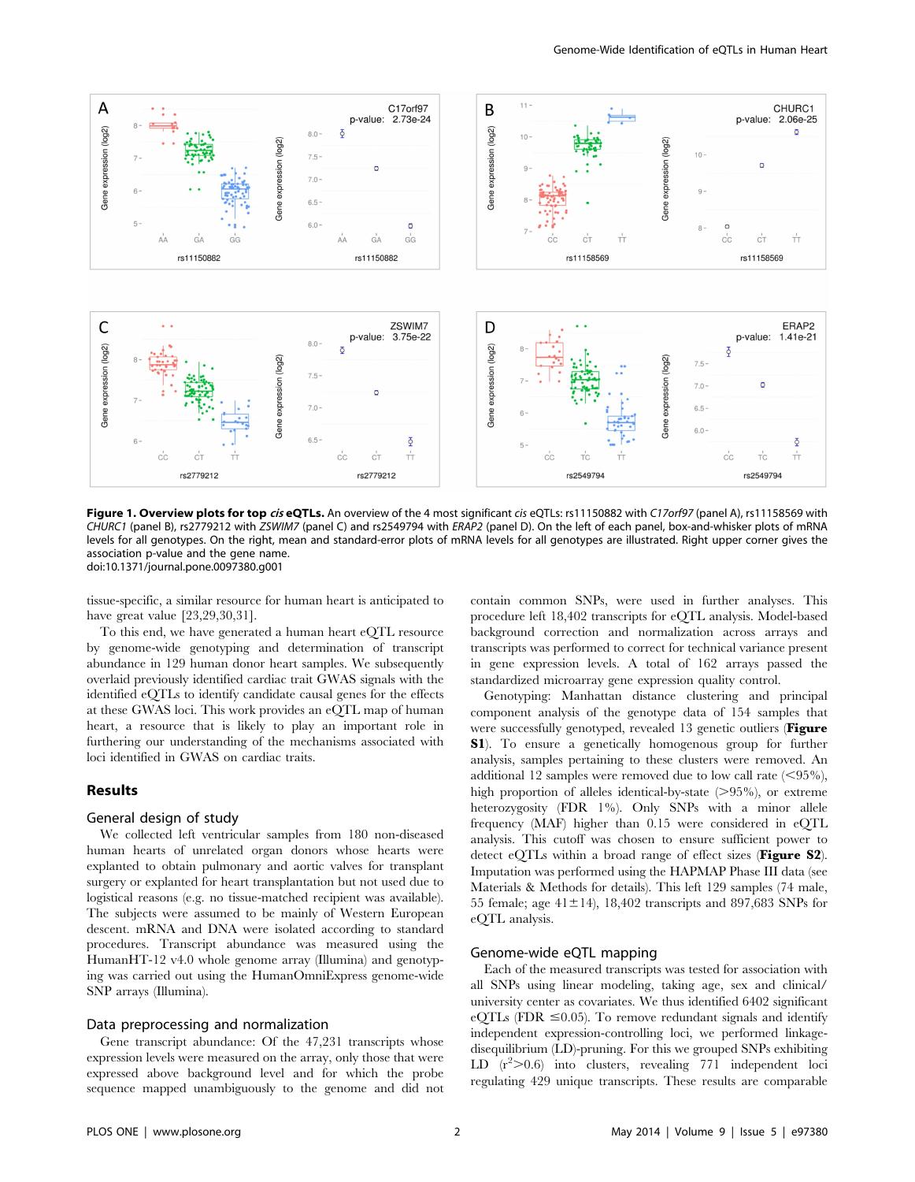

Figure 1. Overview plots for top ciseQTLs. An overview of the 4 most significant cis eQTLs: rs11150882 with C17orf97 (panel A), rs11158569 with CHURC1 (panel B), rs2779212 with ZSWIM7 (panel C) and rs2549794 with ERAP2 (panel D). On the left of each panel, box-and-whisker plots of mRNA levels for all genotypes. On the right, mean and standard-error plots of mRNA levels for all genotypes are illustrated. Right upper corner gives the association p-value and the gene name. doi:10.1371/journal.pone.0097380.g001

tissue-specific, a similar resource for human heart is anticipated to have great value [23,29,30,31].

To this end, we have generated a human heart eQTL resource by genome-wide genotyping and determination of transcript abundance in 129 human donor heart samples. We subsequently overlaid previously identified cardiac trait GWAS signals with the identified eQTLs to identify candidate causal genes for the effects at these GWAS loci. This work provides an eQTL map of human heart, a resource that is likely to play an important role in furthering our understanding of the mechanisms associated with loci identified in GWAS on cardiac traits.

## Results

#### General design of study

We collected left ventricular samples from 180 non-diseased human hearts of unrelated organ donors whose hearts were explanted to obtain pulmonary and aortic valves for transplant surgery or explanted for heart transplantation but not used due to logistical reasons (e.g. no tissue-matched recipient was available). The subjects were assumed to be mainly of Western European descent. mRNA and DNA were isolated according to standard procedures. Transcript abundance was measured using the HumanHT-12 v4.0 whole genome array (Illumina) and genotyping was carried out using the HumanOmniExpress genome-wide SNP arrays (Illumina).

## Data preprocessing and normalization

Gene transcript abundance: Of the 47,231 transcripts whose expression levels were measured on the array, only those that were expressed above background level and for which the probe sequence mapped unambiguously to the genome and did not contain common SNPs, were used in further analyses. This procedure left 18,402 transcripts for eQTL analysis. Model-based background correction and normalization across arrays and transcripts was performed to correct for technical variance present in gene expression levels. A total of 162 arrays passed the standardized microarray gene expression quality control.

Genotyping: Manhattan distance clustering and principal component analysis of the genotype data of 154 samples that were successfully genotyped, revealed 13 genetic outliers (Figure S1). To ensure a genetically homogenous group for further analysis, samples pertaining to these clusters were removed. An additional 12 samples were removed due to low call rate  $(< 95\%$ ), high proportion of alleles identical-by-state  $(>\!95\%)$ , or extreme heterozygosity (FDR 1%). Only SNPs with a minor allele frequency (MAF) higher than 0.15 were considered in eQTL analysis. This cutoff was chosen to ensure sufficient power to detect eQTLs within a broad range of effect sizes (Figure S2). Imputation was performed using the HAPMAP Phase III data (see Materials & Methods for details). This left 129 samples (74 male, 55 female; age  $41\pm14$ ), 18,402 transcripts and 897,683 SNPs for eQTL analysis.

## Genome-wide eQTL mapping

Each of the measured transcripts was tested for association with all SNPs using linear modeling, taking age, sex and clinical/ university center as covariates. We thus identified 6402 significant eQTLs (FDR  $\leq 0.05$ ). To remove redundant signals and identify independent expression-controlling loci, we performed linkagedisequilibrium (LD)-pruning. For this we grouped SNPs exhibiting LD  $(r^2>0.6)$  into clusters, revealing 771 independent loci regulating 429 unique transcripts. These results are comparable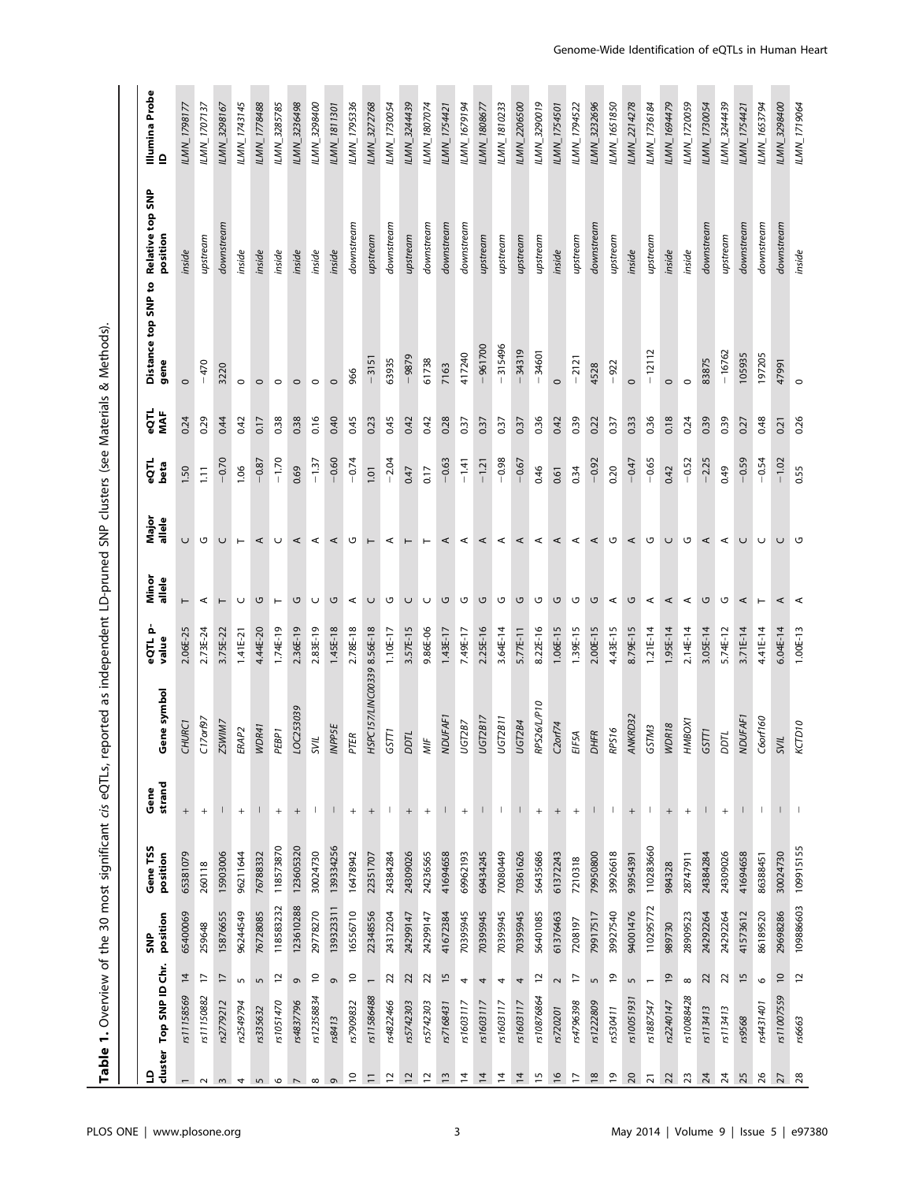| )<br>)<br>;                                                                                                              |  |
|--------------------------------------------------------------------------------------------------------------------------|--|
|                                                                                                                          |  |
|                                                                                                                          |  |
|                                                                                                                          |  |
|                                                                                                                          |  |
|                                                                                                                          |  |
|                                                                                                                          |  |
|                                                                                                                          |  |
|                                                                                                                          |  |
| ı                                                                                                                        |  |
| i<br>i                                                                                                                   |  |
|                                                                                                                          |  |
| ì                                                                                                                        |  |
|                                                                                                                          |  |
| ֖֧ׅ֧ׅ֧֦֧֧ׅ֧֧֧֧ׅ֧֧֧֧֦֧֧֧֦֧֧֧֧֪ׅ֧֚֚֚֚֚֚֚֚֚֚֚֚֚֚֚֚֚֚֚֚֚֚֚֚֚֚֡֝֝֝֝֝֝֝֓֝֝֓֝֓֝֝֓֝֝֬֝֝֝֝֝<br>֧֪֧֪֧֪֧֧֧֧֧֧֧֧֧֧֧֧֧֧֧֧֧֧֧֧֧֧֧֧֧֧֚֝ |  |
|                                                                                                                          |  |
|                                                                                                                          |  |
|                                                                                                                          |  |
|                                                                                                                          |  |
|                                                                                                                          |  |
|                                                                                                                          |  |
|                                                                                                                          |  |
|                                                                                                                          |  |
|                                                                                                                          |  |
| 3<br>$\overline{\mathsf{P}}$                                                                                             |  |

| Illumina Probe<br>ID            | ILMN_1798177       | ILMN_1707137      | ILMN_3298167    | ILMN_1743145      | ILMN_1778488             | ILMN_3285785                     | ILMN_3236498      | ILMN_3298400   | ILMN_1811301             | ILMN_1795336             | ILMN_3272768               | ILMN_1730054   | ILMN_3244439                     | LMN_1807074                      | ILMN_1754421   | LMN_1679194                      | ILMN_1808677   | ILMN_1810233             | ILMN_2206500   | LMN_3290019       | ILMN_1754501      | LMN_1794522                      | ILMN_3232696  | LMN_1651850    | ILMN_2214278      | LMN_1736184              | LMN_1694479    | <b>ILMN_1720059</b> | ILMN_1730054    | ILMN_3244439                     | ILMN_1754421   | ILMN_1653794 | ILMN_3298400    | LMN_1719064    |
|---------------------------------|--------------------|-------------------|-----------------|-------------------|--------------------------|----------------------------------|-------------------|----------------|--------------------------|--------------------------|----------------------------|----------------|----------------------------------|----------------------------------|----------------|----------------------------------|----------------|--------------------------|----------------|-------------------|-------------------|----------------------------------|---------------|----------------|-------------------|--------------------------|----------------|---------------------|-----------------|----------------------------------|----------------|--------------|-----------------|----------------|
| Relative top SNP                |                    |                   | downstream      |                   |                          |                                  |                   |                |                          | downstream               |                            | downstream     |                                  | downstream                       | downstream     | downstream                       |                |                          |                |                   |                   |                                  | downstream    |                |                   |                          |                |                     | downstream      |                                  | downstream     | downstream   | downstream      |                |
| position<br>Distance top SNP to | inside             | upstream          |                 | inside            | inside                   | inside                           | inside            | inside         | inside                   |                          | upstream                   |                | upstream                         |                                  |                |                                  | upstream       | upstream                 | upstream       | upstream          | inside            | upstream                         |               | upstream       | inside            | upstream                 | inside         | inside              |                 | upstream                         |                |              |                 | inside         |
| gene                            | $\circ$            | $-470$            | 3220            | $\circ$           | $\circ$                  | $\circ$                          | $\circ$           | $\circ$        | $\circ$                  | 966                      | $-3151$                    | 63935          | $-9879$                          | 61738                            | 7163           | 417240                           | $-961700$      | $-315496$                | $-34319$       | $-34601$          | $\circ$           | $-2121$                          | 4528          | $-922$         | $\circ$           | $-12112$                 | $\circ$        | $\circ$             | 83875           | $-16762$                         | 105935         | 197205       | 47991           | $\circ$        |
| $-50$<br>MAF                    | 0.24               | 0.29              | 0.44            | 0.42              | 0.17                     | 0.38                             | 0.38              | 0.16           | 0.40                     | 0.45                     | 0.23                       | 0.45           | 0.42                             | 0.42                             | 0.28           | 0.37                             | 0.37           | 0.37                     | 0.37           | 0.36              | 0.42              | 0.39                             | 0.22          | 0.37           | 0.33              | 0.36                     | 0.18           | 0.24                | 0.39            | 0.39                             | 0.27           | 0.48         | 0.21            | 0.26           |
| eQTL<br>beta                    | 1.50               | 1.11              | $-0.70$         | 1.06              | $-0.87$                  | $-1.70$                          | 0.69              | $-1.37$        | $-0.60$                  | $-0.74$                  | 1.01                       | $-2.04$        | 0.47                             | 0.17                             | $-0.63$        | $-1.41$                          | $-1.21$        | $-0.98$                  | $-0.67$        | 0.46              | 0.61              | 0.34                             | $-0.92$       | 0.20           | $-0.47$           | $-0.65$                  | 0.42           | $-0.52$             | $-2.25$         | 0.49                             | $-0.59$        | $-0.54$      | $-1.02$         | 0.55           |
| Major<br>allele                 | $\cup$             | G                 | U               | $\vdash$          | ⋖                        | $\cup$                           | $\prec$           | $\prec$        | $\prec$                  | ಀ                        | $\vdash$                   | $\prec$        | $\vdash$                         | $\vdash$                         | ⋖              | ⋖                                | ⋖              | $\prec$                  | ⋖              | $\prec$           | $\prec$           | $\prec$                          | ⋖             | U              | ⋖                 | U                        | $\cup$         | U                   | ⋖               | $\prec$                          | $\cup$         | $\cup$       | $\cup$          | U              |
| Minor<br>allele                 |                    | ⋖                 | ۳               | U                 | ں                        | $\vdash$                         | U                 | U              | ں                        | $\prec$                  | U                          | U              | $\cup$                           | $\cup$                           | ں              | U                                | G              | U                        | G              | U                 | G                 | U                                | G             | $\prec$        | G                 | ⋖                        | ⋖              | ⋖                   | ں               | O                                | ⋖              |              | ⋖               | ⋖              |
| eQTL p-<br>value                | 2.06E-25           | 2.73E-24          | 3.75E-22        | $1.41E-21$        | 4.44E-20                 | $1.74E-19$                       | 2.36E-19          | 2.83E-19       | $1.45E-18$               | 2.78E-18                 |                            | 1.10E-17       | 3.57E-15                         | 9.86E-06                         | 1.43E-17       | 7.49E-17                         | 2.25E-16       | $3.64E-14$               | 5.77E-11       | 8.22E-16          | $1.06E-15$        | 1.39E-15                         | 2.00E-15      | 4.43E-15       | 8.79E-15          | $1.21E-14$               | $1.95E-14$     | 2.14E-14            | $3.05E-14$      | 5.74E-12                         | $3.71E-14$     | 4.41E-14     | $6.04E-14$      | $1.00E-13$     |
| Gene symbol                     | CHURC <sub>1</sub> | C17orf97          | ZSWIM7          | ERAP <sub>2</sub> | WDR41                    | PEBP <sub>1</sub>                | LOC253039         | SVIL           | <b>INPPSE</b>            | PTER                     | HSPC157/LINC00339 8.56E-18 | GSTTI          | DTL                              | MIF                              | <b>VDUFAF1</b> | UGT2B7                           | <b>JGT2B17</b> | UGT2B11                  | UGT2B4         | RPS26/L/P10       | $C2$ orf74        | EIF5A                            | DHFR          | RPS16          | ANKRD32           | GSTM3                    | WDR18          | HMBOX1              | GSTT1           | 200I                             | <b>NDUFAF1</b> | C6orf160     | <b>ZVIL</b>     | KCTD10         |
| strand<br>Gene                  | $\qquad \qquad +$  | $\qquad \qquad +$ | I               | $^{+}$            | $\overline{\phantom{a}}$ | $\begin{array}{c} + \end{array}$ | $\qquad \qquad +$ | -1             | $\overline{\phantom{a}}$ | $\qquad \qquad +$        | $\qquad \qquad +$          | $\mathbf{I}$   | $\begin{array}{c} + \end{array}$ | $\begin{array}{c} + \end{array}$ | $\vert$        | $\begin{array}{c} + \end{array}$ | Т              | $\overline{\phantom{a}}$ | $\mathsf{I}$   | $\qquad \qquad +$ | $\qquad \qquad +$ | $\begin{array}{c} + \end{array}$ |               | $\overline{1}$ | $\qquad \qquad +$ | $\mathsf{I}$             | $^{+}$         | $^{+}$              | $\mathsf{I}$    | $\begin{array}{c} + \end{array}$ | $\mathsf{I}$   | л.           |                 |                |
| Gene TSS<br>position            | 65381079           | 260118            | 15903006        | 96211644          | 76788332                 | 118573870                        | 123605320         | 30024730       | 139334256                | 16478942                 | 22351707                   | 24384284       | 24309026                         | 24236565                         | 41694658       | 69962193                         | 69434245       | 70080449                 | 70361626       | 56435686          | 61372243          | 7210318                          | 79950800      | 39926618       | 93954391          | 110283660                | 984328         | 28747911            | 24384284        | 24309026                         | 41694658       | 86388451     | 30024730        | 109915155      |
| position<br>SNP                 | 65400069           | 259648            | 15876655        | 96244549          | 76728085                 | 118583232                        | 123610288         | 29778270       | 139323311                | 16556710                 | 22348556                   | 24312204       | 24299147                         | 24299147                         | 41672384       | 70395945                         | 70395945       | 70395945                 | 70395945       | 56401085          | 61376463          | 7208197                          | 79917517      | 39927540       | 94001476          | 110295772                | 989730         | 28909523            | 24292264        | 24292264                         | 41573612       | 86189520     | 29698286        | 109886603      |
|                                 | $\overline{4}$     | $\overline{1}$    | $\overline{17}$ | LN.               | $\sqrt{2}$               | $\tilde{c}$                      | ō                 | $\overline{a}$ | ō                        | $\overline{\phantom{0}}$ | $\overline{\phantom{0}}$   | $\overline{2}$ | 22                               | $\overline{2}$                   | $\frac{5}{5}$  | 4                                | 4              | 4                        | 4              | $\approx$         | $\sim$            | $\overline{1}$                   | $\sqrt{2}$    | $\overline{0}$ | 5                 | $\overline{\phantom{0}}$ | $\overline{0}$ | ${}^{\infty}$       | 22              | $\overline{2}$                   | 15             | $\circ$      | $\overline{10}$ | $\overline{c}$ |
| cluster Top SNP ID Chr.         | rs11158569         | rs11150882        | rs2779212       | rs2549794         | rs335632                 | rs1051470                        | rs4837796         | rs12358834     | rs8413                   | rs7909832                | rs11586488                 | rs4822466      | rs5742303                        | rs5742303                        | rs7168431      | rs1603117                        | rs1603117      | rs1603117                | rs1603117      | rs10876864        | rs720201          | rs4796398                        | rs1222809     | rs530411       | rs10051931        | rs1887547                | rs2240147      | rs10088428          | rs113413        | rs113413                         | rs9568         | rs4431401    | rs11007559      | rs6663         |
| $\mathsf{P}$                    |                    | $\sim$            | $\sim$          | 4                 | $\sqrt{2}$               | $\circ$                          | $\overline{z}$    | ${}^{\circ}$   | G                        | $\overline{c}$           | $\equiv$                   | 51             | 12                               | $\overline{a}$                   | $\frac{3}{2}$  | $\overline{4}$                   | $\overline{4}$ | $\overline{4}$           | $\overline{4}$ | 15                | $\frac{6}{2}$     | F                                | $\frac{8}{2}$ | $\overline{6}$ | $\overline{c}$    | $\overline{2}$           | $\overline{2}$ | $23\,$              | $\overline{24}$ | $\overline{24}$                  | 25             | 26           | 27              | 28             |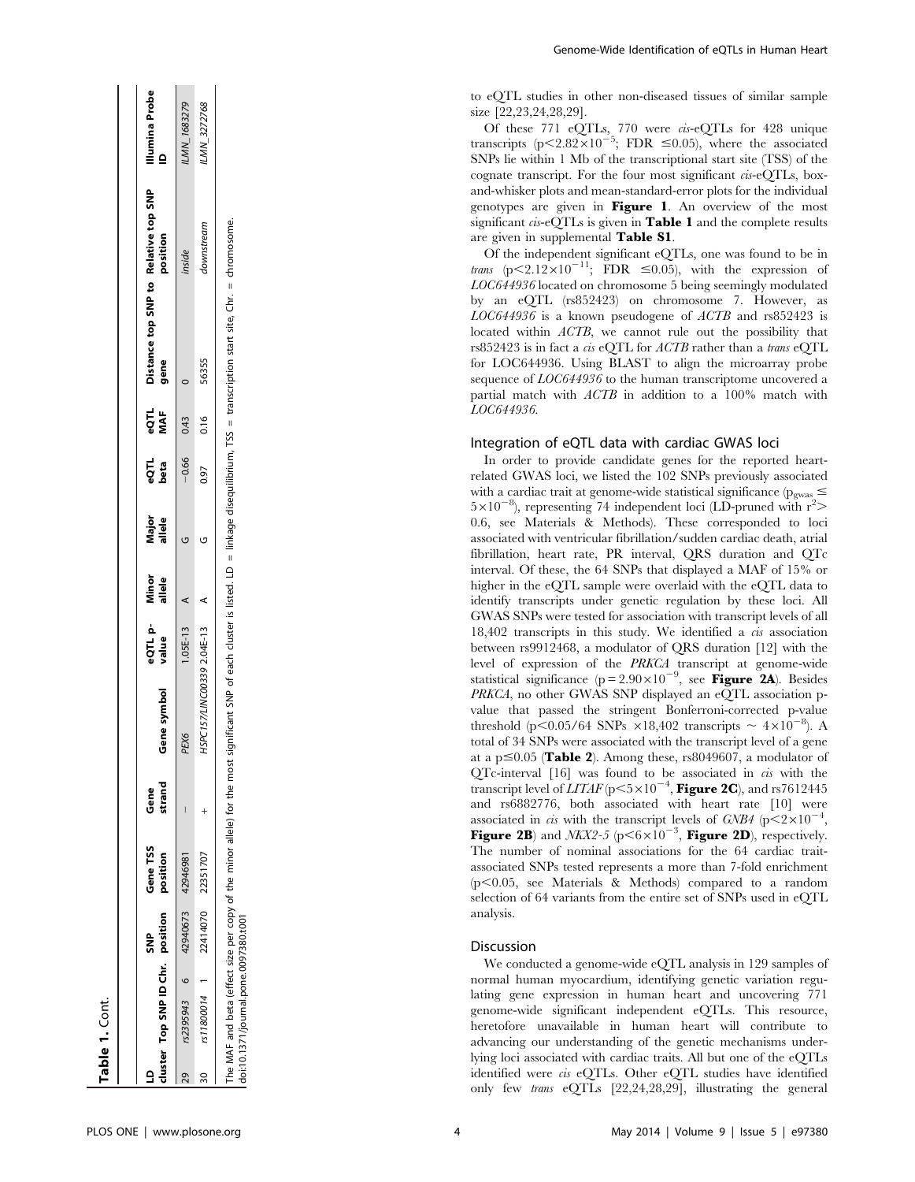|   | cluster Top SNP ID Chr. position                                                                                  | e<br>S | Gene TSS<br>position | strand<br>Gene | Gene symbol                  | eQTL p-Minor<br>value allele | Major<br>allele | eQTL<br>beta | פסדו<br>אאד     | Distance top SNP to Relative top SNP<br>gene                                                                               | position   | Illumina Probe<br>$\mathbf{r}$ |
|---|-------------------------------------------------------------------------------------------------------------------|--------|----------------------|----------------|------------------------------|------------------------------|-----------------|--------------|-----------------|----------------------------------------------------------------------------------------------------------------------------|------------|--------------------------------|
|   | rs2395943 6 42940673 42946981                                                                                     |        |                      |                | PEX6                         | $1.05E-13$ A                 |                 |              | $-0.660043$     |                                                                                                                            | inside     | LMN_1683279                    |
| ສ | rs11800014 1                                                                                                      |        | 22414070 22351707    |                | HSPC157/LINC00339 2.04E-13 A |                              |                 |              | 0.97 0.16 56355 |                                                                                                                            | downstream | ILMN_3272768                   |
|   | The MAF and beta (effect size per copy of the minor allele) for the most<br>doi:10.1371/journal.pone.0097380.t001 |        |                      |                |                              |                              |                 |              |                 | significant SNP of each cluster is listed. LD = linkage disequilibrium, TSS = transcription start site, Chr. = chromosome. |            |                                |

to eQTL studies in other non-diseased tissues of similar sample size [22,23,24,28,29].

Of these 771 eQTLs, 770 were cis-eQTLs for 428 unique transcripts (p<2.82×10<sup>-5</sup>; FDR  $\leq$ 0.05), where the associated SNPs lie within 1 Mb of the transcriptional start site (TSS) of the cognate transcript. For the four most significant cis-eQTLs, boxand-whisker plots and mean-standard-error plots for the individual genotypes are given in Figure 1. An overview of the most significant  $\cos$ -eQTLs is given in **Table 1** and the complete results are given in supplemental Table S1.

Of the independent significant eQTLs, one was found to be in trans (p $\leq$ 2.12 $\times$ 10<sup>-11</sup>; FDR  $\leq$ 0.05), with the expression of LOC644936 located on chromosome 5 being seemingly modulated by an eQTL (rs852423) on chromosome 7. However, as  $LOG644936$  is a known pseudogene of  $ACTB$  and rs852423 is located within *ACTB*, we cannot rule out the possibility that rs852423 is in fact a cis eQTL for ACTB rather than a trans eQTL for LOC644936. Using BLAST to align the microarray probe sequence of  $LOC644936$  to the human transcriptome uncovered a partial match with ACTB in addition to a 100% match with LOC644936.

#### Integration of eQTL data with cardiac GWAS loci

In order to provide candidate genes for the reported heartrelated GWAS loci, we listed the 102 SNPs previously associated with a cardiac trait at genome-wide statistical significance ( $p_{\text{swas}} \leq$  $5\times10^{-8}$ ), representing 74 independent loci (LD-pruned with  $r^2$ > 0.6, see Materials & Methods). These corresponded to loci associated with ventricular fibrillation/sudden cardiac death, atrial fibrillation, heart rate, PR interval, QRS duration and QTc interval. Of these, the 64 SNPs that displayed a MAF of 15% or higher in the eQTL sample were overlaid with the eQTL data to identify transcripts under genetic regulation by these loci. All GWAS SNPs were tested for association with transcript levels of all 18,402 transcripts in this study. We identified a cis association between rs9912468, a modulator of QRS duration [12] with the level of expression of the PRKCA transcript at genome-wide statistical significance ( $p = 2.90 \times 10^{-9}$ , see Figure 2A). Besides PRKCA, no other GWAS SNP displayed an eQTL association pvalue that passed the stringent Bonferroni-corrected p-value threshold (p<0.05/64 SNPs  $\times$ 18,402 transcripts  $\sim 4\times10^{-8}$ ). A total of 34 SNPs were associated with the transcript level of a gene at a p $\leq 0.05$  (Table 2). Among these, rs8049607, a modulator of QTc-interval [16] was found to be associated in cis with the transcript level of  $LITAF$  (p $\leq 5 \times 10^{-4}$ , Figure 2C), and rs7612445 and rs6882776, both associated with heart rate [10] were associated in *cis* with the transcript levels of  $GNB4$  ( $p < 2 \times 10^{-4}$ , Figure 2B) and  $NKX2-5$  (p $\leq 6\times10^{-3}$ , Figure 2D), respectively. The number of nominal associations for the 64 cardiac traitassociated SNPs tested represents a more than 7-fold enrichment  $(p<0.05$ , see Materials & Methods) compared to a random selection of 64 variants from the entire set of SNPs used in eQTL analysis.

## **Discussion**

We conducted a genome-wide eQTL analysis in 129 samples of normal human myocardium, identifying genetic variation regulating gene expression in human heart and uncovering 771 genome-wide significant independent eQTLs. This resource, heretofore unavailable in human heart will contribute to advancing our understanding of the genetic mechanisms underlying loci associated with cardiac traits. All but one of the eQTLs identified were cis eQTLs. Other eQTL studies have identified only few trans eQTLs [22,24,28,29], illustrating the general

Table 1. Cont.

Table 1. Cont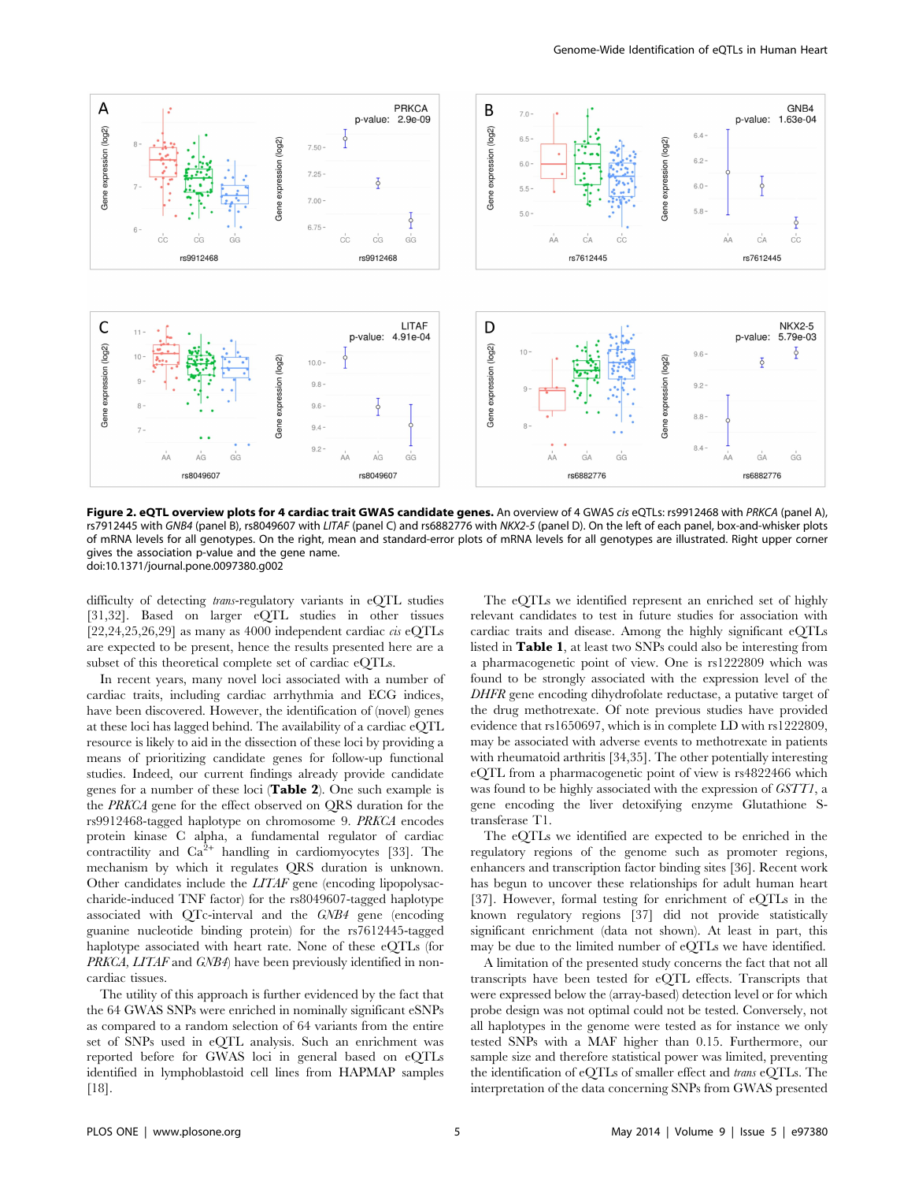

Figure 2. eQTL overview plots for 4 cardiac trait GWAS candidate genes. An overview of 4 GWAS cis eQTLs: rs9912468 with PRKCA (panel A), rs7912445 with GNB4 (panel B), rs8049607 with LITAF (panel C) and rs6882776 with NKX2-5 (panel D). On the left of each panel, box-and-whisker plots of mRNA levels for all genotypes. On the right, mean and standard-error plots of mRNA levels for all genotypes are illustrated. Right upper corner gives the association p-value and the gene name. doi:10.1371/journal.pone.0097380.g002

difficulty of detecting trans-regulatory variants in eQTL studies [31,32]. Based on larger eQTL studies in other tissues  $[22,24,25,26,29]$  as many as 4000 independent cardiac *cis* eQTLs are expected to be present, hence the results presented here are a subset of this theoretical complete set of cardiac eQTLs.

In recent years, many novel loci associated with a number of cardiac traits, including cardiac arrhythmia and ECG indices, have been discovered. However, the identification of (novel) genes at these loci has lagged behind. The availability of a cardiac eQTL resource is likely to aid in the dissection of these loci by providing a means of prioritizing candidate genes for follow-up functional studies. Indeed, our current findings already provide candidate genes for a number of these loci (Table 2). One such example is the PRKCA gene for the effect observed on QRS duration for the rs9912468-tagged haplotype on chromosome 9. PRKCA encodes protein kinase C alpha, a fundamental regulator of cardiac contractility and  $Ca^{2+}$  handling in cardiomyocytes [33]. The mechanism by which it regulates QRS duration is unknown. Other candidates include the LITAF gene (encoding lipopolysaccharide-induced TNF factor) for the rs8049607-tagged haplotype associated with QTc-interval and the GNB4 gene (encoding guanine nucleotide binding protein) for the rs7612445-tagged haplotype associated with heart rate. None of these eQTLs (for PRKCA, LITAF and GNB4) have been previously identified in noncardiac tissues.

The utility of this approach is further evidenced by the fact that the 64 GWAS SNPs were enriched in nominally significant eSNPs as compared to a random selection of 64 variants from the entire set of SNPs used in eQTL analysis. Such an enrichment was reported before for GWAS loci in general based on eQTLs identified in lymphoblastoid cell lines from HAPMAP samples [18].

The eQTLs we identified represent an enriched set of highly relevant candidates to test in future studies for association with cardiac traits and disease. Among the highly significant eQTLs listed in Table 1, at least two SNPs could also be interesting from a pharmacogenetic point of view. One is rs1222809 which was found to be strongly associated with the expression level of the DHFR gene encoding dihydrofolate reductase, a putative target of the drug methotrexate. Of note previous studies have provided evidence that rs1650697, which is in complete LD with rs1222809, may be associated with adverse events to methotrexate in patients with rheumatoid arthritis [34,35]. The other potentially interesting eQTL from a pharmacogenetic point of view is rs4822466 which was found to be highly associated with the expression of GSTT1, a gene encoding the liver detoxifying enzyme Glutathione Stransferase T1.

The eQTLs we identified are expected to be enriched in the regulatory regions of the genome such as promoter regions, enhancers and transcription factor binding sites [36]. Recent work has begun to uncover these relationships for adult human heart [37]. However, formal testing for enrichment of eQTLs in the known regulatory regions [37] did not provide statistically significant enrichment (data not shown). At least in part, this may be due to the limited number of eQTLs we have identified.

A limitation of the presented study concerns the fact that not all transcripts have been tested for eQTL effects. Transcripts that were expressed below the (array-based) detection level or for which probe design was not optimal could not be tested. Conversely, not all haplotypes in the genome were tested as for instance we only tested SNPs with a MAF higher than 0.15. Furthermore, our sample size and therefore statistical power was limited, preventing the identification of eQTLs of smaller effect and trans eQTLs. The interpretation of the data concerning SNPs from GWAS presented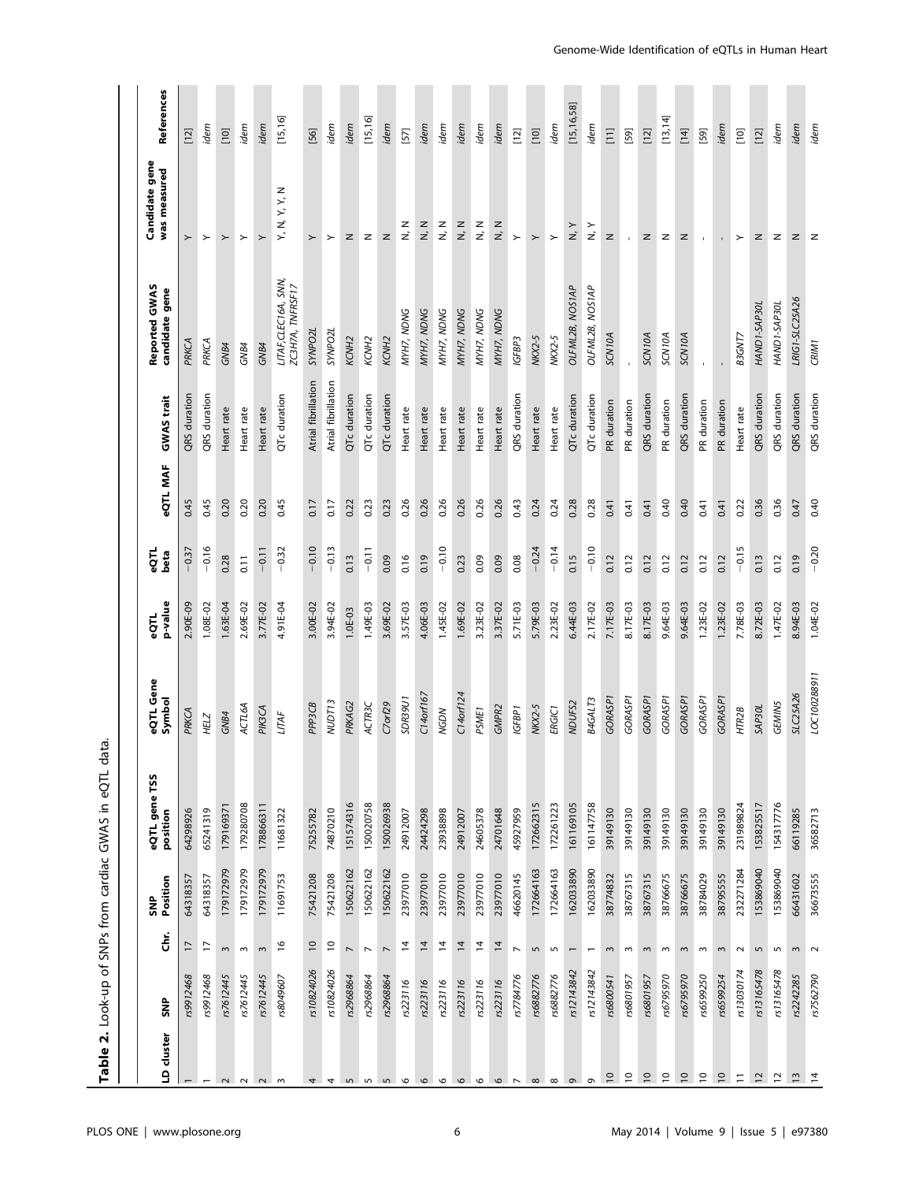|                          |            |                          |                 | Ë<br>ಕೆ<br>Table 2. Look-up of SNPs from cardiac GWAS in eQTL |                     |                 |                |                 |                     |                                          |                                 |              |
|--------------------------|------------|--------------------------|-----------------|---------------------------------------------------------------|---------------------|-----------------|----------------|-----------------|---------------------|------------------------------------------|---------------------------------|--------------|
|                          |            |                          |                 |                                                               |                     |                 |                |                 |                     |                                          |                                 |              |
| LD cluster               | š          | ຮ້                       | Position<br>ŠNP | eQTL gene TSS<br>position                                     | eQTL Gene<br>Symbol | p-value<br>eQTL | eQTL<br>beta   | <b>eQTL MAF</b> | GWAS trait          | Reported GWAS<br>candidate gene          | Candidate gene<br>was measured  | References   |
|                          | rs9912468  | 17                       | 64318357        | 64298926                                                      | PRKCA               | 2.90E-09        | $-0.37$        | 0.45            | QRS duration        | PRKCA                                    | $\succ$                         | $[12]$       |
| $\overline{\phantom{0}}$ | rs9912468  | F                        | 64318357        | 65241319                                                      | <b>HELZ</b>         | 1.08E-02        | $-0.16$        | 0.45            | QRS duration        | PRKCA                                    | $\succ$                         | idem         |
| $\sim$                   | rs7612445  | $\sim$                   | 179172979       | 179169371                                                     | GNB4                | 1.63E-04        | 0.28           | 0.20            | Heart rate          | GNB4                                     | $\succ$                         | $[10]$       |
|                          | rs7612445  | $\,$ $\,$                | 179172979       | 179280708                                                     | ACTL6A              | 2.69E-02        | $\overline{5}$ | 0.20            | Heart rate          | GNB4                                     | $\succ$                         | idem         |
| $\sim$ $\sim$            | rs7612445  | $\mathsf{c}$             | 179172979       | 178866311                                                     | <b>PIK3CA</b>       | 3.77E-02        | $-0.11$        | 0.20            | Heart rate          | GNB4                                     | $\succ$                         | idem         |
| $\mathsf{S}$             | rs8049607  | $\frac{6}{2}$            | 11691753        | 11681322                                                      | <b>LITAF</b>        | 4.91E-04        | $-0.32$        | 0.45            | QTc duration        | LITAF, CLEC16A, SNN,<br>ZC3H7A, TNFRSF17 | Y, N, Y, Y, N                   | [15, 16]     |
| 4                        | rs10824026 | $\approx$                | 75421208        | 75255782                                                      | PPP3CB              | 3.00E-02        | $-0.10$        | 0.17            | Atrial fibrillation | <b>SYNPO2L</b>                           | $\succ$                         | $[56]$       |
| 4                        | rs10824026 | $\overline{c}$           | 75421208        | 74870210                                                      | <b>NUDT13</b>       | 3.94E-02        | $-0.13$        | 0.17            | Atrial fibrillation | SYNPO <sub>2L</sub>                      | $\succ$                         | idem         |
| $\overline{5}$           | rs2968864  | $\overline{a}$           | 150622162       | 151574316                                                     | PRKAG2              | $1.0E-03$       | 0.13           | 0.22            | QTc duration        | KCNH <sub>2</sub>                        | z                               | idem         |
| $\sqrt{2}$               | rs2968864  | $\overline{a}$           | 150622162       | 150020758                                                     | ACTR3C              | 1.49E-03        | $-0.11$        | 0.23            | QTc duration        | KCNH <sub>2</sub>                        | z                               | [15, 16]     |
| 5                        | rs2968864  | $\overline{ }$           | 150622162       | 150026938                                                     | $C7$ orf $29$       | 3.69E-02        | 0.09           | 0.23            | QTc duration        | KCNH <sub>2</sub>                        | z                               | idem         |
| $\circ$                  | rs223116   | 2                        | 23977010        | 24912007                                                      | SDR39U1             | 3.57E-03        | 0.16           | 0.26            | Heart rate          | MYH7, NDNG                               | $\frac{z}{z}$                   | $[57]$       |
| $\circ$                  | rs223116   | $\overline{4}$           | 23977010        | 24424298                                                      | C14orf167           | 4.06E-03        | 0.19           | 0.26            | Heart rate          | MYH7, NDNG                               | $\frac{z}{z}$                   | idem         |
| $\circ$                  | rs223116   | $\overline{4}$           | 23977010        | 23938898                                                      | <b>NGDN</b>         | 1.45E-02        | $-0.10$        | 0.26            | Heart rate          | MYH7, NDNG                               | $\frac{z}{z}$                   | idem         |
| $\circ$                  | rs223116   | $\overline{4}$           | 23977010        | 24912007                                                      | C14orf124           | 1.69E-02        | 0.23           | 0.26            | Heart rate          | MYH7, NDNG                               | $\frac{z}{z}$                   | idem         |
| $\circ$                  | rs223116   | 4                        | 23977010        | 24605378                                                      | PSME <sub>1</sub>   | 3.23E-02        | 0.09           | 0.26            | Heart rate          | MYH7, NDNG                               | $\frac{z}{z}$                   | idem         |
| $\mathbf \circ$          | rs223116   | $\overline{4}$           | 23977010        | 24701648                                                      | GMPR2               | 3.37E-02        | 0.09           | 0.26            | Heart rate          | MYH7, NDNG                               | $\frac{z}{z}$                   | idem         |
| $\overline{ }$           | rs7784776  | $\overline{ }$           | 46620145        | 45927959                                                      | IGFBP1              | 5.71E-03        | 0.08           | 0.43            | QRS duration        | IGFBP3                                   | $\succ$                         | $[12]$       |
| $\infty$                 | rs6882776  | $\mathsf{L}\cap$         | 172664163       | 172662315                                                     | <b>NKX2-5</b>       | 5.79E-03        | $-0.24$        | 0.24            | Heart rate          | NKX2-5                                   | $\succ$                         | $[10]$       |
| $\infty$                 | rs6882776  | $\mathsf{L}\cap$         | 172664163       | 172261223                                                     | ERGIC1              | 2.23E-02        | $-0.14$        | 0.24            | Heart rate          | NKX2-5                                   | $\succ$                         | idem         |
| $\sigma$                 | rs12143842 | $\overline{\phantom{0}}$ | 162033890       | 161169105                                                     | NDUFS2              | 6.44E-03        | 0.15           | 0.28            | QTc duration        | OLFML2B, NOS1AP                          | $\frac{\mathsf{y}}{\mathsf{x}}$ | [15, 16, 58] |
| $\sigma$                 | rs12143842 | $\overline{\phantom{0}}$ | 162033890       | 161147758                                                     | B4GALT3             | 2.17E-02        | $-0.10$        | 0.28            | QTc duration        | OLFML2B, NOS1AP                          | $\frac{\succ}{\sim}$            | idem         |
| $\overline{10}$          | rs6800541  | $\sim$                   | 38774832        | 39149130                                                      | <b>GORASP1</b>      | 7.17E-03        | 0.12           | 0.41            | PR duration         | <b>SCN10A</b>                            | $\mathsf z$                     | $\Xi$        |
| $\overline{C}$           | rs6801957  | $\,$ $\,$                | 38767315        | 39149130                                                      | GORASP1             | 8.17E-03        | 0.12           | 0.41            | PR duration         |                                          | $\mathbf{r}$                    | $[59]$       |
| $\overline{C}$           | rs6801957  | $\,$ $\,$                | 38767315        | 39149130                                                      | GORASP <sub>1</sub> | 8.17E-03        | 0.12           | 0.41            | QRS duration        | SCN10A                                   | z                               | $[12]$       |
| $\overline{c}$           | rs6795970  | $\sim$                   | 38766675        | 39149130                                                      | GORASP1             | 9.64E-03        | 0.12           | 0.40            | PR duration         | SCN10A                                   | $\mathsf z$                     | [13, 14]     |
| $\overline{10}$          | rs6795970  | $\sim$                   | 38766675        | 39149130                                                      | GORASP1             | 9.64E-03        | 0.12           | 0.40            | QRS duration        | SCN10A                                   | z                               | $[14]$       |
| $\overline{c}$           | rs6599250  | $\sim$                   | 38784029        | 39149130                                                      | GORASP1             | 1.23E-02        | 0.12           | 0.41            | PR duration         |                                          | $\mathbf{I}$                    | $[59]$       |
| $\overline{0}$           | rs6599254  | $\sim$                   | 38795555        | 39149130                                                      | GORASP <sub>1</sub> | 1.23E-02        | 0.12           | 0.41            | PR duration         |                                          |                                 | idem         |
| $\overline{1}$           | rs13030174 | $\sim$                   | 232271284       | 231989824                                                     | HTR2B               | 7.78E-03        | $-0.15$        | 0.22            | Heart rate          | B3GNT7                                   | $\succ$                         | $[10]$       |
| $\overline{c}$           | rs13165478 | 5                        | 153869040       | 153825517                                                     | SAP30L              | 8.72E-03        | 0.13           | 0.36            | QRS duration        | HAND1-SAP30L                             | z                               | $[12]$       |
| $\overline{a}$           | rs13165478 | $\overline{5}$           | 153869040       | 154317776                                                     | <b>GEMIN5</b>       | 1.47E-02        | 0.12           | 0.36            | QRS duration        | HAND1-SAP30L                             | z                               | idem         |
| $\tilde{L}$              | rs2242285  | $\sim$                   | 66431602        | 66119285                                                      | <b>SLC25A26</b>     | 8.94E-03        | 0.19           | 0.47            | QRS duration        | LRIG1-SLC25A26                           | z                               | idem         |
| $\overline{4}$           | rs7562790  | $\sim$                   | 36673555        | 36582713                                                      | LOC100288911        | 1.04E-02        | $-0.20$        | 0.40            | QRS duration        | CRIM1                                    | $\mathbf{z}$                    | idem         |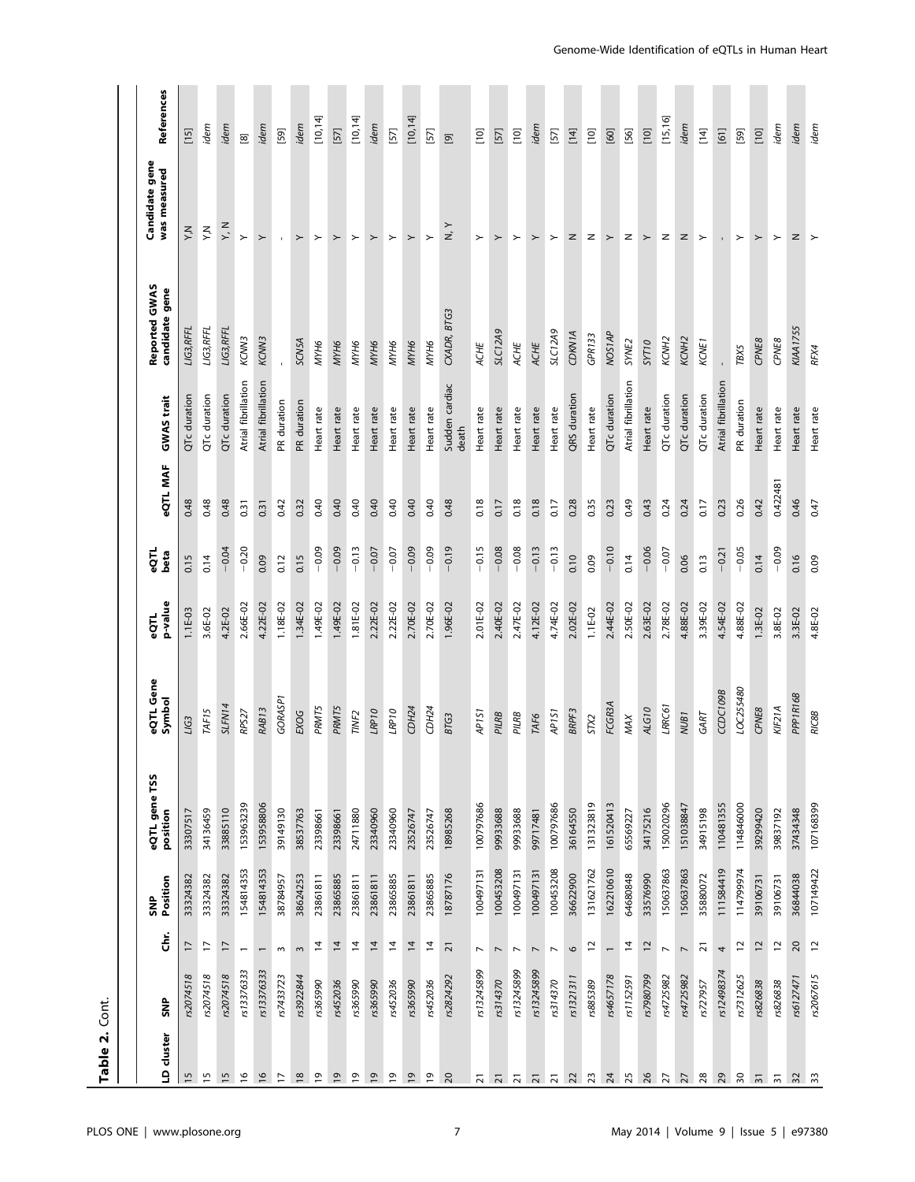| Table 2.        | Cont.                                  |                     |                           |                     |                 |              |          |                         |                                 |                                |             |
|-----------------|----------------------------------------|---------------------|---------------------------|---------------------|-----------------|--------------|----------|-------------------------|---------------------------------|--------------------------------|-------------|
| LD cluster      | š                                      | Position<br>š<br>ຮ້ | eQTL gene TSS<br>position | eQTL Gene<br>Symbol | p-value<br>eQTL | eQTL<br>beta | eQTL MAF | GWAS trait              | Reported GWAS<br>candidate gene | Candidate gene<br>was measured | References  |
| 15              | 17<br>rs2074518                        | 33324382            | 33307517                  | LIG3                | 1.1E-03         | 0.15         | 0.48     | QTc duration            | LIG3, RFFL                      | Χ'N                            | $[15]$      |
| $\frac{15}{2}$  | F<br>rs2074518                         | 33324382            | 34136459                  | TAF <sub>15</sub>   | 3.6E-02         | 0.14         | 0.48     | QTc duration            | LIG3, RFFL                      | ΧŹ                             | idem        |
| $\frac{5}{2}$   | $\overline{1}$<br>rs2074518            | 33324382            | 33885110                  | SLFN14              | 4.2E-02         | $-0.04$      | 0.48     | QTc duration            | LIG3, RFFL                      | Σ<br>Σ                         | idem        |
| $\frac{6}{2}$   | $\overline{\phantom{0}}$<br>rs13376333 | 154814353           | 153963239                 | RPS27               | 2.66E-02        | $-0.20$      | 0.31     | Atrial fibrillation     | KCNN3                           | $\succ$                        | $\boxed{8}$ |
| $\overline{16}$ | rs13376333                             | 154814353           | 153958806                 | RAB <sub>13</sub>   | 4.22E-02        | 0.09         | 0.31     | Atrial fibrillation     | KCNN3                           | $\succ$                        | idem        |
| $\overline{1}$  | $\sim$<br>rs7433723                    | 38784957            | 39149130                  | GORASP1             | 1.18E-02        | 0.12         | 0.42     | PR duration             |                                 | $\mathbf{r}$ .                 | $[59]$      |
| $18$            | $\sim$<br>rs3922844                    | 38624253            | 38537763                  | EXOG                | 1.34E-02        | 0.15         | 0.32     | PR duration             | <b>SCN5A</b>                    | $\succ$                        | idem        |
| $\overline{6}$  | $\overline{a}$<br>rs365990             | 23861811            | 23398661                  | <b>PRMT5</b>        | 1.49E-02        | $-0.09$      | 0.40     | Heart rate              | MYH6                            | $\succ$                        | [10, 14]    |
| $\overline{0}$  | $\overline{4}$<br>rs452036             | 23865885            | 23398661                  | <b>PRMT5</b>        | 1.49E-02        | $-0.09$      | 0.40     | Heart rate              | MYH6                            | $\succ$                        | $[57]$      |
| $\overline{0}$  | $\overline{4}$<br>rs365990             | 23861811            | 24711880                  | TINF <sub>2</sub>   | 1.81E-02        | $-0.13$      | 0.40     | Heart rate              | МҮНб                            | $\succ$                        | [10, 14]    |
| $\overline{0}$  | $\overline{4}$<br>rs365990             | 23861811            | 23340960                  | LRP10               | 2.22E-02        | $-0.07$      | 0.40     | Heart rate              | MYH6                            | $\succ$                        | idem        |
| $\overline{9}$  | $\overline{4}$<br>rs452036             | 23865885            | 23340960                  | LRP10               | 2.22E-02        | $-0.07$      | 0.40     | Heart rate              | МҮНб                            | $\succ$                        | $[57]$      |
| $\overline{1}$  | $\overline{4}$<br>rs365990             | 23861811            | 23526747                  | CDH24               | 2.70E-02        | $-0.09$      | 0.40     | Heart rate              | MYH6                            | $\succ$                        | [10, 14]    |
| $\overline{1}$  | $\overline{4}$<br>rs452036             | 23865885            | 23526747                  | CDH24               | 2.70E-02        | $-0.09$      | 0.40     | Heart rate              | MYH6                            | $\succ$                        | $[57]$      |
| 20              | $\overline{2}$<br>rs2824292            | 18787176            | 18985268                  | <b>BTG3</b>         | 1.96E-02        | $-0.19$      | 0.48     | Sudden cardiac<br>death | CXADR, BTG3                     | $\frac{1}{N}$                  | $\boxed{9}$ |
| $\overline{2}$  | $\overline{\phantom{0}}$<br>rs13245899 | 100497131           | 100797686                 | AP <sub>1S1</sub>   | 2.01E-02        | $-0.15$      | 0.18     | Heart rate              | ACHE                            | $\succ$                        | $[10]$      |
| $\overline{2}$  | $\overline{\phantom{a}}$<br>rs314370   | 100453208           | 99933688                  | PILRB               | 2.40E-02        | $-0.08$      | 0.17     | Heart rate              | <b>SLC12A9</b>                  | $\succ$                        | $[57]$      |
| $\overline{2}1$ | $\overline{ }$<br>rs13245899           | 100497131           | 99933688                  | PILRB               | 2.47E-02        | $-0.08$      | 0.18     | Heart rate              | ACHE                            | $\succ$                        | $[10]$      |
| $\overline{2}$  | $\overline{ }$<br>rs13245899           | 100497131           | 99717481                  | <b>TAF6</b>         | 4.12E-02        | $-0.13$      | 0.18     | Heart rate              | ACHE                            | $\succ$                        | idem        |
| $\overline{2}1$ | $\overline{\phantom{a}}$<br>rs314370   | 100453208           | 100797686                 | AP <sub>151</sub>   | 4.74E-02        | $-0.13$      | 0.17     | Heart rate              | <b>SLC12A9</b>                  | $\succ$                        | $[57]$      |
| 22              | $\circ$<br>rs1321311                   | 36622900            | 36164550                  | BRPF3               | 2.02E-02        | 0.10         | 0.28     | QRS duration            | CDKN1A                          | z                              | $[14]$      |
| 23              | $\overline{a}$<br>rs885389             | 131621762           | 131323819                 | STX2                | $1.1E-02$       | 0.09         | 0.35     | Heart rate              | <b>GPR133</b>                   | z                              | $[10]$      |
| 24              | $\overline{\phantom{0}}$<br>rs4657178  | 162210610           | 161520413                 | FCGR3A              | 2.44E-02        | $-0.10$      | 0.23     | QTc duration            | NOS <sub>1</sub> AP             | $\succ$                        | $[60]$      |
| 25              | $\overline{4}$<br>rs1152591            | 64680848            | 65569227                  | MAX                 | 2.50E-02        | 0.14         | 0.49     | Atrial fibrillation     | SYNE2                           | $\mathbb Z$                    | $[56]$      |
| 26              | $\overline{12}$<br>rs7980799           | 33576990            | 34175216                  | ALG10               | 2.63E-02        | $-0.06$      | 0.43     | Heart rate              | SYT10                           | $\succ$                        | $[10]$      |
| $\overline{27}$ | $\overline{\phantom{a}}$<br>rs4725982  | 150637863           | 150020296                 | LRRC61              | 2.78E-02        | $-0.07$      | 0.24     | QTc duration            | KCNH <sub>2</sub>               | z                              | [15, 16]    |
| 27              | $\overline{\phantom{a}}$<br>rs4725982  | 150637863           | 151038847                 | NUB <sub>1</sub>    | 4.88E-02        | 0.06         | 0.24     | QTc duration            | KCNH <sub>2</sub>               | $\mathsf{z}$                   | idem        |
| 28              | $\overline{2}1$<br>rs727957            | 35880072            | 34915198                  | GART                | 3.39E-02        | 0.13         | 0.17     | QTc duration            | KCNE <sub>1</sub>               | $\rightarrow$                  | $[14]$      |
| 29              | 4<br>rs12498374                        | 111584419           | 110481355                 | CCDC109B            | 4.54E-02        | $-0.21$      | 0.23     | Atrial fibrillation     |                                 |                                | $[61]$      |
| $\sqrt{2}$      | $\Xi$<br>rs7312625                     | 114799974           | 114846000                 | LOC255480           | 4.88E-02        | $-0.05$      | 0.26     | PR duration             | TBX5                            | $\succ$                        | $[59]$      |
| $\overline{3}$  | $\overline{c}$<br>rs826838             | 39106731            | 39299420                  | CPNE8               | 1.3E-02         | 0.14         | 0.42     | Heart rate              | CPNE8                           | $\succ$                        | $[10]$      |
| $\overline{5}$  | $\overline{\phantom{a}}$<br>rs826838   | 39106731            | 39837192                  | KIF21A              | 3.8E-02         | $-0.09$      | 0.422481 | Heart rate              | CPNE8                           | $\succ$                        | idem        |
| 32              | 20<br>rs6127471                        | 36844038            | 37434348                  | PPP1R16B            | 3.3E-02         | 0.16         | 0.46     | Heart rate              | <b>KIAA1755</b>                 | z                              | idem        |
| 33              | $\overline{a}$<br>rs2067615            | 107149422           | 107168399                 | <b>RIC8B</b>        | 4.8E-02         | 0.09         | 0.47     | Heart rate              | RFX4                            | $\rightarrow$                  | idem        |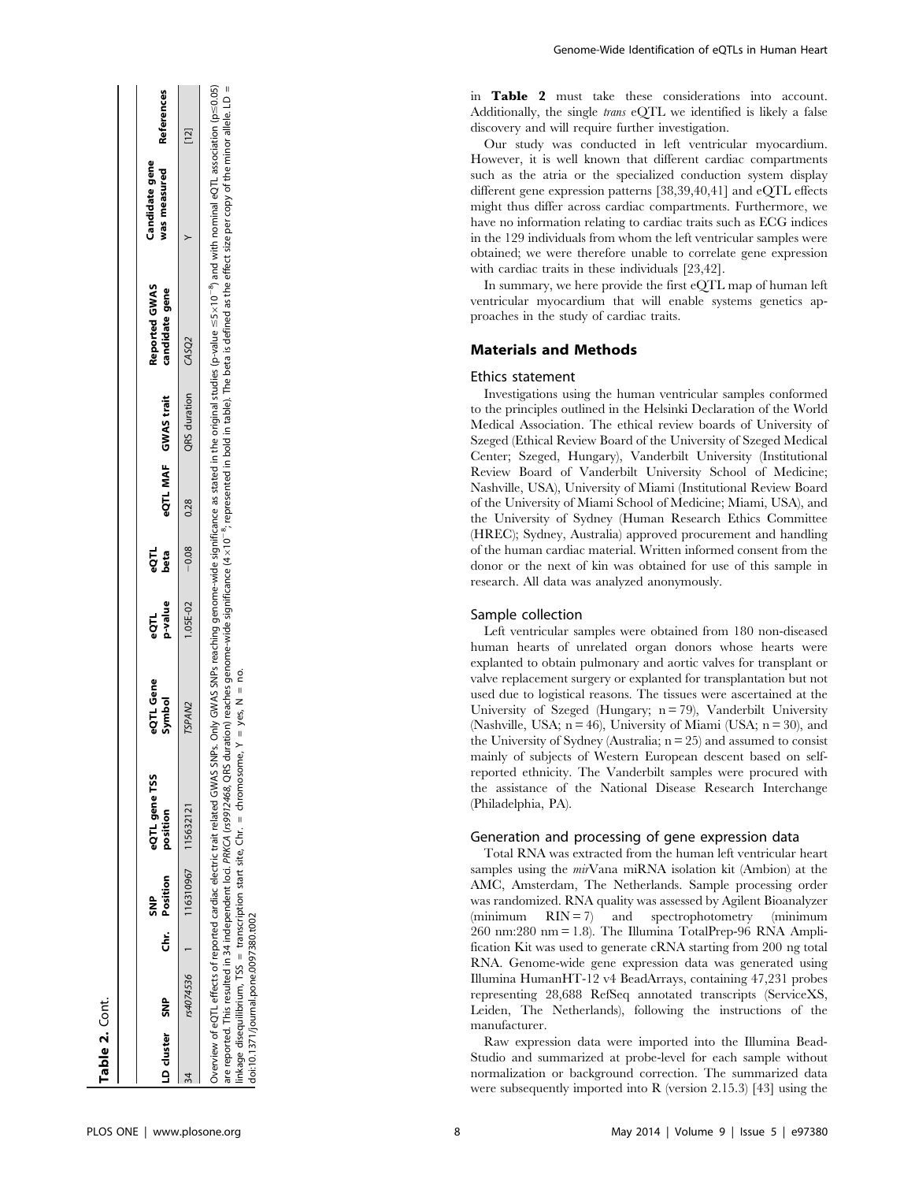| D cluster SNP |           | Chr. Position<br>ទី<br>ទី | <b>QTL</b> gene TSS<br>osition | eQTL Gene<br>jymbol | p-value<br>ΞŐ | έğ<br>beta             | eQTL MAF GWAS trait | <b>Reported GWAS</b><br>candidate gene                                                                                                                                                                                               | was measured<br>Candidate gene | References |
|---------------|-----------|---------------------------|--------------------------------|---------------------|---------------|------------------------|---------------------|--------------------------------------------------------------------------------------------------------------------------------------------------------------------------------------------------------------------------------------|--------------------------------|------------|
|               | rs4074536 |                           | 116310967 115632121            | TSPAN2              |               | $1.05E-0.2$ -0.08 0.28 | QRS duration CASQ2  |                                                                                                                                                                                                                                      |                                | $[12]$     |
|               |           |                           |                                |                     |               |                        |                     | $\alpha$ eQTL effects of reported cardiac electric trait related GWAS SNPs. Only GWAS SNPs reaching genome-wide significance as stated in the original studies (p-value =S1x10 $^{-9}$ ) and with nominal eQTL association (p=S0.05) |                                |            |

 $\overline{1}$ are reported. This resulted in 34 independent loci. PRKCA (199972468, QRS duration) reaches genome wide significance (4×10 <sup>e</sup>, represented in bold in table). The beta is defined as the effect size per copy of the minor al  $\triangleq$ °s, linkage disequilibrium, TSS = transcription start site, Chr. = chromosome, Y = yes, N = no.  $\bar{\rm H}$  $=$  chromosome,  $Y = \text{ves, N}$ disequilibrium, TSS = transcription start site, Chr. doi:10.1371/journal.pone.0097380.t002 doi:10.1371/journal.pone.0097380.t002 linkage

Genome-Wide Identification of eQTLs in Human Heart

in Table 2 must take these considerations into account. Additionally, the single trans eQTL we identified is likely a false discovery and will require further investigation.

Our study was conducted in left ventricular myocardium. However, it is well known that different cardiac compartments such as the atria or the specialized conduction system display different gene expression patterns [38,39,40,41] and eQTL effects might thus differ across cardiac compartments. Furthermore, we have no information relating to cardiac traits such as ECG indices in the 129 individuals from whom the left ventricular samples were obtained; we were therefore unable to correlate gene expression with cardiac traits in these individuals [23,42].

In summary, we here provide the first eQTL map of human left ventricular myocardium that will enable systems genetics approaches in the study of cardiac traits.

# Materials and Methods

#### Ethics statement

Investigations using the human ventricular samples conformed to the principles outlined in the Helsinki Declaration of the World Medical Association. The ethical review boards of University of Szeged (Ethical Review Board of the University of Szeged Medical Center; Szeged, Hungary), Vanderbilt University (Institutional Review Board of Vanderbilt University School of Medicine; Nashville, USA), University of Miami (Institutional Review Board of the University of Miami School of Medicine; Miami, USA), and the University of Sydney (Human Research Ethics Committee (HREC); Sydney, Australia) approved procurement and handling of the human cardiac material. Written informed consent from the donor or the next of kin was obtained for use of this sample in research. All data was analyzed anonymously.

# Sample collection

Left ventricular samples were obtained from 180 non-diseased human hearts of unrelated organ donors whose hearts were explanted to obtain pulmonary and aortic valves for transplant or valve replacement surgery or explanted for transplantation but not used due to logistical reasons. The tissues were ascertained at the University of Szeged (Hungary;  $n = 79$ ), Vanderbilt University (Nashville, USA;  $n = 46$ ), University of Miami (USA;  $n = 30$ ), and the University of Sydney (Australia;  $n = 25$ ) and assumed to consist mainly of subjects of Western European descent based on selfreported ethnicity. The Vanderbilt samples were procured with the assistance of the National Disease Research Interchange (Philadelphia, PA).

#### Generation and processing of gene expression data

Total RNA was extracted from the human left ventricular heart samples using the *mir*Vana miRNA isolation kit (Ambion) at the AMC, Amsterdam, The Netherlands. Sample processing order was randomized. RNA quality was assessed by Agilent Bioanalyzer  $(\text{minimum} \quad \text{RIN} = 7)$  and spectrophotometry  $(\text{minimum} \quad \text{RIN} = 7)$ 260 nm:280 nm = 1.8). The Illumina TotalPrep-96 RNA Amplification Kit was used to generate cRNA starting from 200 ng total RNA. Genome-wide gene expression data was generated using Illumina HumanHT-12 v4 BeadArrays, containing 47,231 probes representing 28,688 RefSeq annotated transcripts (ServiceXS, Leiden, The Netherlands), following the instructions of the manufacturer.

Raw expression data were imported into the Illumina Bead-Studio and summarized at probe-level for each sample without normalization or background correction. The summarized data were subsequently imported into R (version 2.15.3) [43] using the

Table 2. Cont.

Table 2. Cont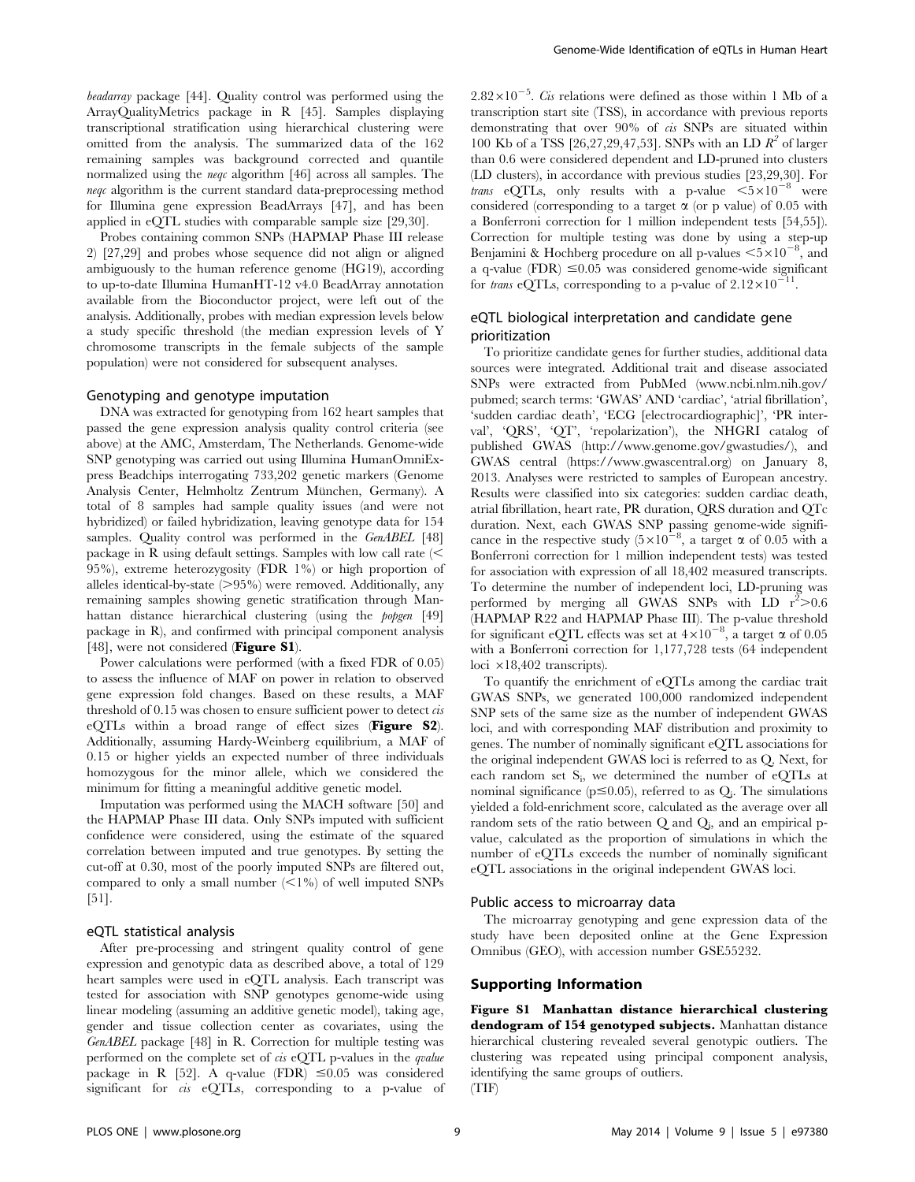beadarray package [44]. Quality control was performed using the ArrayQualityMetrics package in R [45]. Samples displaying transcriptional stratification using hierarchical clustering were omitted from the analysis. The summarized data of the 162 remaining samples was background corrected and quantile normalized using the neqc algorithm [46] across all samples. The neqc algorithm is the current standard data-preprocessing method for Illumina gene expression BeadArrays [47], and has been applied in eQTL studies with comparable sample size [29,30].

Probes containing common SNPs (HAPMAP Phase III release 2) [27,29] and probes whose sequence did not align or aligned ambiguously to the human reference genome (HG19), according to up-to-date Illumina HumanHT-12 v4.0 BeadArray annotation available from the Bioconductor project, were left out of the analysis. Additionally, probes with median expression levels below a study specific threshold (the median expression levels of Y chromosome transcripts in the female subjects of the sample population) were not considered for subsequent analyses.

#### Genotyping and genotype imputation

DNA was extracted for genotyping from 162 heart samples that passed the gene expression analysis quality control criteria (see above) at the AMC, Amsterdam, The Netherlands. Genome-wide SNP genotyping was carried out using Illumina HumanOmniExpress Beadchips interrogating 733,202 genetic markers (Genome Analysis Center, Helmholtz Zentrum München, Germany). A total of 8 samples had sample quality issues (and were not hybridized) or failed hybridization, leaving genotype data for 154 samples. Quality control was performed in the GenABEL [48] package in R using default settings. Samples with low call rate  $\leq$ 95%), extreme heterozygosity (FDR 1%) or high proportion of alleles identical-by-state  $(>95%)$  were removed. Additionally, any remaining samples showing genetic stratification through Manhattan distance hierarchical clustering (using the *popgen* [49] package in R), and confirmed with principal component analysis [48], were not considered (Figure S1).

Power calculations were performed (with a fixed FDR of 0.05) to assess the influence of MAF on power in relation to observed gene expression fold changes. Based on these results, a MAF threshold of  $0.15$  was chosen to ensure sufficient power to detect  $cis$ eQTLs within a broad range of effect sizes (Figure S2). Additionally, assuming Hardy-Weinberg equilibrium, a MAF of 0.15 or higher yields an expected number of three individuals homozygous for the minor allele, which we considered the minimum for fitting a meaningful additive genetic model.

Imputation was performed using the MACH software [50] and the HAPMAP Phase III data. Only SNPs imputed with sufficient confidence were considered, using the estimate of the squared correlation between imputed and true genotypes. By setting the cut-off at 0.30, most of the poorly imputed SNPs are filtered out, compared to only a small number  $\leq 1\%$  of well imputed SNPs [51].

#### eQTL statistical analysis

After pre-processing and stringent quality control of gene expression and genotypic data as described above, a total of 129 heart samples were used in eQTL analysis. Each transcript was tested for association with SNP genotypes genome-wide using linear modeling (assuming an additive genetic model), taking age, gender and tissue collection center as covariates, using the GenABEL package [48] in R. Correction for multiple testing was performed on the complete set of  $\alpha$  eQTL p-values in the *qualue* package in R [52]. A q-value (FDR)  $\leq 0.05$  was considered significant for *cis* eQTLs, corresponding to a p-value of

 $2.82 \times 10^{-5}$ . *Cis* relations were defined as those within 1 Mb of a transcription start site (TSS), in accordance with previous reports demonstrating that over 90% of cis SNPs are situated within 100 Kb of a TSS [26,27,29,47,53]. SNPs with an LD  $\mathbb{R}^2$  of larger than 0.6 were considered dependent and LD-pruned into clusters (LD clusters), in accordance with previous studies [23,29,30]. For *trans* eQTLs, only results with a p-value  $\langle 5 \times 10^{-8} \rangle$  were considered (corresponding to a target  $\alpha$  (or p value) of 0.05 with a Bonferroni correction for 1 million independent tests [54,55]). Correction for multiple testing was done by using a step-up Benjamini & Hochberg procedure on all p-values  $\leq 5 \times 10^{-8}$ , and a q-value (FDR)  $\leq 0.05$  was considered genome-wide significant for *trans* eQTLs, corresponding to a p-value of  $2.12 \times 10^{-1}$ 

# eQTL biological interpretation and candidate gene prioritization

To prioritize candidate genes for further studies, additional data sources were integrated. Additional trait and disease associated SNPs were extracted from PubMed [\(www.ncbi.nlm.nih.gov/](www.ncbi.nlm.nih.gov/pubmed) [pubmed;](www.ncbi.nlm.nih.gov/pubmed) search terms: 'GWAS' AND 'cardiac', 'atrial fibrillation', 'sudden cardiac death', 'ECG [electrocardiographic]', 'PR interval', 'QRS', 'QT', 'repolarization'), the NHGRI catalog of published GWAS ([http://www.genome.gov/gwastudies/\)](http://www.genome.gov/gwastudies/), and GWAS central ([https://www.gwascentral.org\)](https://www.gwascentral.org) on January 8, 2013. Analyses were restricted to samples of European ancestry. Results were classified into six categories: sudden cardiac death, atrial fibrillation, heart rate, PR duration, QRS duration and QTc duration. Next, each GWAS SNP passing genome-wide significance in the respective study  $(5\times10^{-8})$ , a target  $\alpha$  of 0.05 with a Bonferroni correction for 1 million independent tests) was tested for association with expression of all 18,402 measured transcripts. To determine the number of independent loci, LD-pruning was performed by merging all GWAS SNPs with LD  $r^2 > 0.6$ (HAPMAP R22 and HAPMAP Phase III). The p-value threshold for significant eQTL effects was set at  $4\times10^{-8}$ , a target  $\alpha$  of 0.05 with a Bonferroni correction for 1,177,728 tests (64 independent loci  $\times$ 18,402 transcripts).

To quantify the enrichment of eQTLs among the cardiac trait GWAS SNPs, we generated 100,000 randomized independent SNP sets of the same size as the number of independent GWAS loci, and with corresponding MAF distribution and proximity to genes. The number of nominally significant eQTL associations for the original independent GWAS loci is referred to as Q. Next, for each random set  $S_i$ , we determined the number of eQTLs at nominal significance ( $p \le 0.05$ ), referred to as  $Q_i$ . The simulations yielded a fold-enrichment score, calculated as the average over all random sets of the ratio between Q and Q<sub>i</sub>, and an empirical pvalue, calculated as the proportion of simulations in which the number of eQTLs exceeds the number of nominally significant eQTL associations in the original independent GWAS loci.

#### Public access to microarray data

The microarray genotyping and gene expression data of the study have been deposited online at the Gene Expression Omnibus (GEO), with accession number GSE55232.

### Supporting Information

Figure S1 Manhattan distance hierarchical clustering dendogram of 154 genotyped subjects. Manhattan distance hierarchical clustering revealed several genotypic outliers. The clustering was repeated using principal component analysis, identifying the same groups of outliers.

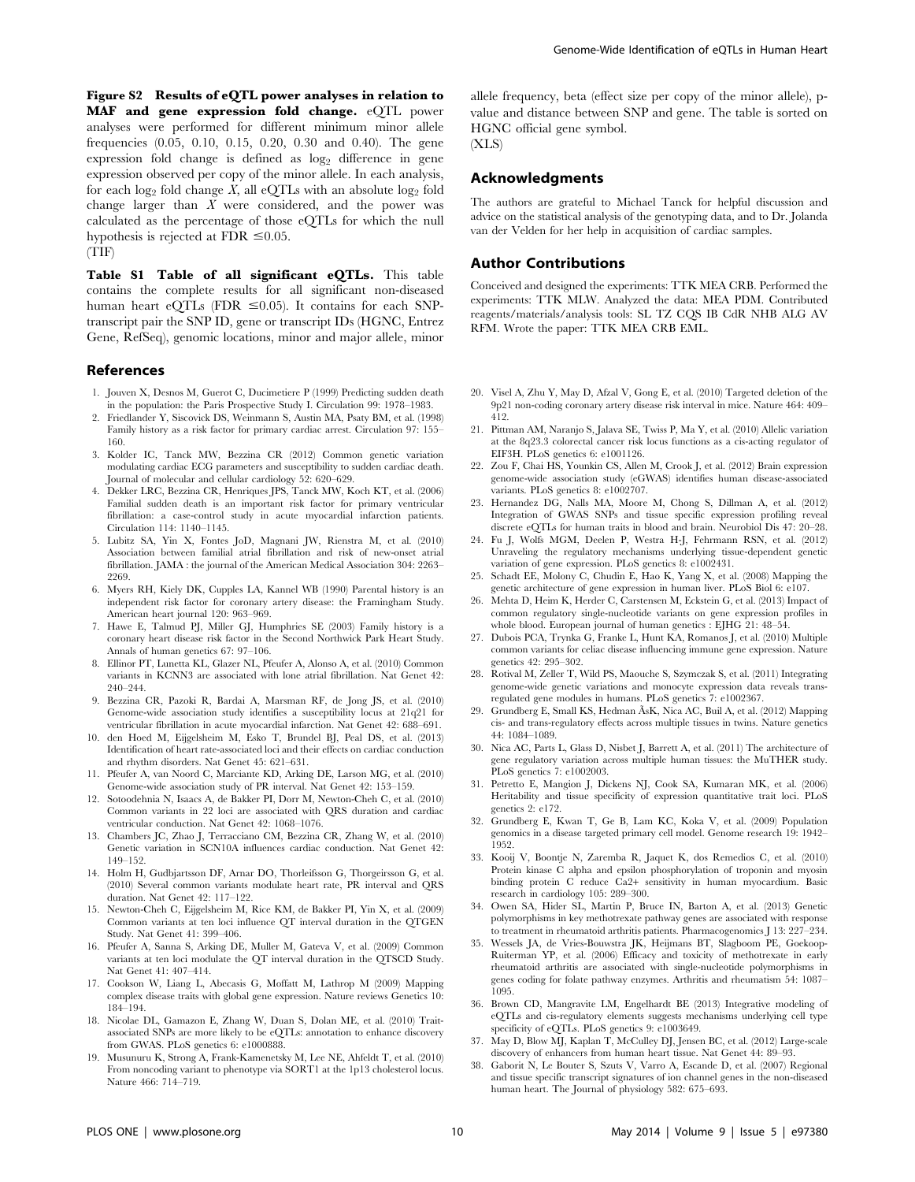Figure S2 Results of eQTL power analyses in relation to MAF and gene expression fold change. eQTL power analyses were performed for different minimum minor allele frequencies (0.05, 0.10, 0.15, 0.20, 0.30 and 0.40). The gene expression fold change is defined as  $log<sub>2</sub>$  difference in gene expression observed per copy of the minor allele. In each analysis, for each log<sub>2</sub> fold change X, all eQTLs with an absolute log<sub>2</sub> fold change larger than X were considered, and the power was calculated as the percentage of those eQTLs for which the null hypothesis is rejected at FDR  $\leq 0.05$ .

(TIF)

Table S1 Table of all significant eQTLs. This table contains the complete results for all significant non-diseased human heart eQTLs (FDR  $\leq$ 0.05). It contains for each SNPtranscript pair the SNP ID, gene or transcript IDs (HGNC, Entrez Gene, RefSeq), genomic locations, minor and major allele, minor

#### References

- 1. Jouven X, Desnos M, Guerot C, Ducimetiere P (1999) Predicting sudden death in the population: the Paris Prospective Study I. Circulation 99: 1978–1983.
- 2. Friedlander Y, Siscovick DS, Weinmann S, Austin MA, Psaty BM, et al. (1998) Family history as a risk factor for primary cardiac arrest. Circulation 97: 155– 160.
- 3. Kolder IC, Tanck MW, Bezzina CR (2012) Common genetic variation modulating cardiac ECG parameters and susceptibility to sudden cardiac death. Journal of molecular and cellular cardiology 52: 620–629.
- 4. Dekker LRC, Bezzina CR, Henriques JPS, Tanck MW, Koch KT, et al. (2006) Familial sudden death is an important risk factor for primary ventricular fibrillation: a case-control study in acute myocardial infarction patients. Circulation 114: 1140–1145.
- 5. Lubitz SA, Yin X, Fontes JoD, Magnani JW, Rienstra M, et al. (2010) Association between familial atrial fibrillation and risk of new-onset atrial fibrillation. JAMA : the journal of the American Medical Association 304: 2263– 2269
- 6. Myers RH, Kiely DK, Cupples LA, Kannel WB (1990) Parental history is an independent risk factor for coronary artery disease: the Framingham Study. American heart journal 120: 963–969.
- 7. Hawe E, Talmud PJ, Miller GJ, Humphries SE (2003) Family history is a coronary heart disease risk factor in the Second Northwick Park Heart Study. Annals of human genetics 67: 97–106.
- 8. Ellinor PT, Lunetta KL, Glazer NL, Pfeufer A, Alonso A, et al. (2010) Common variants in KCNN3 are associated with lone atrial fibrillation. Nat Genet 42: 240–244.
- 9. Bezzina CR, Pazoki R, Bardai A, Marsman RF, de Jong JS, et al. (2010) Genome-wide association study identifies a susceptibility locus at 21q21 for ventricular fibrillation in acute myocardial infarction. Nat Genet 42: 688–691.
- 10. den Hoed M, Eijgelsheim M, Esko T, Brundel BJ, Peal DS, et al. (2013) Identification of heart rate-associated loci and their effects on cardiac conduction and rhythm disorders. Nat Genet 45: 621–631.
- 11. Pfeufer A, van Noord C, Marciante KD, Arking DE, Larson MG, et al. (2010) Genome-wide association study of PR interval. Nat Genet 42: 153–159.
- 12. Sotoodehnia N, Isaacs A, de Bakker PI, Dorr M, Newton-Cheh C, et al. (2010) Common variants in 22 loci are associated with QRS duration and cardiac ventricular conduction. Nat Genet 42: 1068–1076.
- 13. Chambers JC, Zhao J, Terracciano CM, Bezzina CR, Zhang W, et al. (2010) Genetic variation in SCN10A influences cardiac conduction. Nat Genet 42: 149–152.
- 14. Holm H, Gudbjartsson DF, Arnar DO, Thorleifsson G, Thorgeirsson G, et al. (2010) Several common variants modulate heart rate, PR interval and QRS duration. Nat Genet 42: 117–122.
- 15. Newton-Cheh C, Eijgelsheim M, Rice KM, de Bakker PI, Yin X, et al. (2009) Common variants at ten loci influence QT interval duration in the QTGEN Study. Nat Genet 41: 399–406.
- 16. Pfeufer A, Sanna S, Arking DE, Muller M, Gateva V, et al. (2009) Common variants at ten loci modulate the QT interval duration in the QTSCD Study. Nat Genet 41: 407–414.
- 17. Cookson W, Liang L, Abecasis G, Moffatt M, Lathrop M (2009) Mapping complex disease traits with global gene expression. Nature reviews Genetics 10: 184–194.
- 18. Nicolae DL, Gamazon E, Zhang W, Duan S, Dolan ME, et al. (2010) Traitassociated SNPs are more likely to be eQTLs: annotation to enhance discovery from GWAS. PLoS genetics 6: e1000888.
- 19. Musunuru K, Strong A, Frank-Kamenetsky M, Lee NE, Ahfeldt T, et al. (2010) From noncoding variant to phenotype via SORT1 at the 1p13 cholesterol locus. Nature 466: 714–719.

allele frequency, beta (effect size per copy of the minor allele), pvalue and distance between SNP and gene. The table is sorted on HGNC official gene symbol.

(XLS)

## Acknowledgments

The authors are grateful to Michael Tanck for helpful discussion and advice on the statistical analysis of the genotyping data, and to Dr. Jolanda van der Velden for her help in acquisition of cardiac samples.

## Author Contributions

Conceived and designed the experiments: TTK MEA CRB. Performed the experiments: TTK MLW. Analyzed the data: MEA PDM. Contributed reagents/materials/analysis tools: SL TZ CQS IB CdR NHB ALG AV RFM. Wrote the paper: TTK MEA CRB EML.

- 20. Visel A, Zhu Y, May D, Afzal V, Gong E, et al. (2010) Targeted deletion of the 9p21 non-coding coronary artery disease risk interval in mice. Nature 464: 409– 412.
- 21. Pittman AM, Naranjo S, Jalava SE, Twiss P, Ma Y, et al. (2010) Allelic variation at the 8q23.3 colorectal cancer risk locus functions as a cis-acting regulator of EIF3H. PLoS genetics 6: e1001126.
- 22. Zou F, Chai HS, Younkin CS, Allen M, Crook J, et al. (2012) Brain expression genome-wide association study (eGWAS) identifies human disease-associated variants. PLoS genetics 8: e1002707.
- 23. Hernandez DG, Nalls MA, Moore M, Chong S, Dillman A, et al. (2012) Integration of GWAS SNPs and tissue specific expression profiling reveal discrete eQTLs for human traits in blood and brain. Neurobiol Dis 47: 20–28.
- 24. Fu J, Wolfs MGM, Deelen P, Westra H-J, Fehrmann RSN, et al. (2012) Unraveling the regulatory mechanisms underlying tissue-dependent genetic variation of gene expression. PLoS genetics 8: e1002431.
- 25. Schadt EE, Molony C, Chudin E, Hao K, Yang X, et al. (2008) Mapping the genetic architecture of gene expression in human liver. PLoS Biol 6: e107.
- 26. Mehta D, Heim K, Herder C, Carstensen M, Eckstein G, et al. (2013) Impact of common regulatory single-nucleotide variants on gene expression profiles in whole blood. European journal of human genetics : EJHG 21: 48–54.
- 27. Dubois PCA, Trynka G, Franke L, Hunt KA, Romanos J, et al. (2010) Multiple common variants for celiac disease influencing immune gene expression. Nature genetics 42: 295–302.
- 28. Rotival M, Zeller T, Wild PS, Maouche S, Szymczak S, et al. (2011) Integrating genome-wide genetic variations and monocyte expression data reveals transregulated gene modules in humans. PLoS genetics 7: e1002367.
- 29. Grundberg E, Small KS, Hedman ÃsK, Nica AC, Buil A, et al. (2012) Mapping cis- and trans-regulatory effects across multiple tissues in twins. Nature genetics 44: 1084–1089.
- 30. Nica AC, Parts L, Glass D, Nisbet J, Barrett A, et al. (2011) The architecture of gene regulatory variation across multiple human tissues: the MuTHER study. PLoS genetics 7: e1002003.
- 31. Petretto E, Mangion J, Dickens NJ, Cook SA, Kumaran MK, et al. (2006) Heritability and tissue specificity of expression quantitative trait loci. PLoS genetics 2: e172.
- 32. Grundberg E, Kwan T, Ge B, Lam KC, Koka V, et al. (2009) Population genomics in a disease targeted primary cell model. Genome research 19: 1942– 1952.
- 33. Kooij V, Boontje N, Zaremba R, Jaquet K, dos Remedios C, et al. (2010) Protein kinase C alpha and epsilon phosphorylation of troponin and myosin binding protein C reduce Ca2+ sensitivity in human myocardium. Basic research in cardiology 105: 289–300.
- 34. Owen SA, Hider SL, Martin P, Bruce IN, Barton A, et al. (2013) Genetic polymorphisms in key methotrexate pathway genes are associated with response to treatment in rheumatoid arthritis patients. Pharmacogenomics J 13: 227–234.
- 35. Wessels JA, de Vries-Bouwstra JK, Heijmans BT, Slagboom PE, Goekoop-Ruiterman YP, et al. (2006) Efficacy and toxicity of methotrexate in early rheumatoid arthritis are associated with single-nucleotide polymorphisms in genes coding for folate pathway enzymes. Arthritis and rheumatism 54: 1087– 1095.
- 36. Brown CD, Mangravite LM, Engelhardt BE (2013) Integrative modeling of eQTLs and cis-regulatory elements suggests mechanisms underlying cell type specificity of eQTLs. PLoS genetics 9: e1003649.
- 37. May D, Blow MJ, Kaplan T, McCulley DJ, Jensen BC, et al. (2012) Large-scale discovery of enhancers from human heart tissue. Nat Genet 44: 89–93.
- 38. Gaborit N, Le Bouter S, Szuts V, Varro A, Escande D, et al. (2007) Regional and tissue specific transcript signatures of ion channel genes in the non-diseased human heart. The Journal of physiology 582: 675–693.